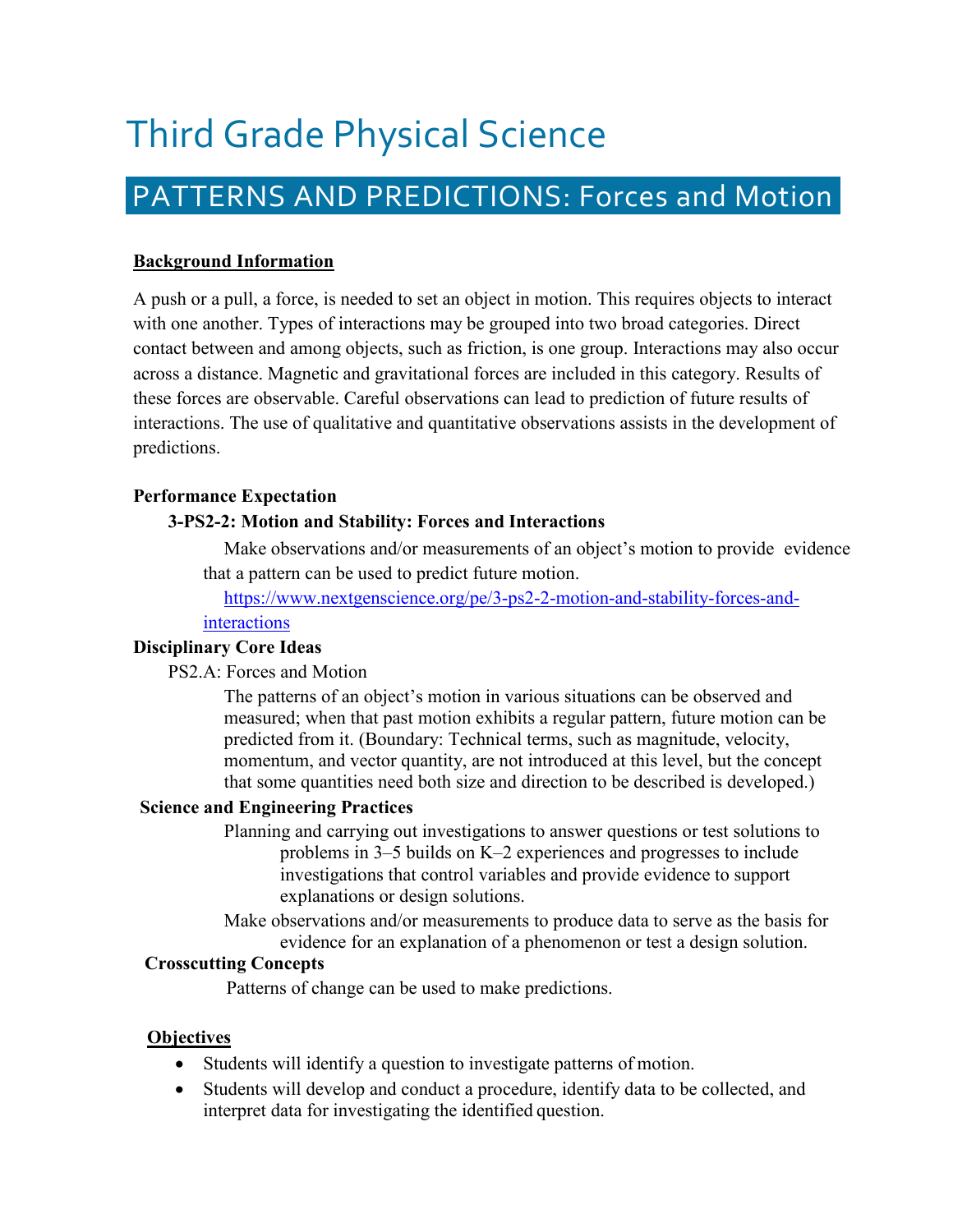# Third Grade Physical Science

# PATTERNS AND PREDICTIONS: Forces and Motion

# **Background Information**

A push or a pull, a force, is needed to set an object in motion. This requires objects to interact with one another. Types of interactions may be grouped into two broad categories. Direct contact between and among objects, such as friction, is one group. Interactions may also occur across a distance. Magnetic and gravitational forces are included in this category. Results of these forces are observable. Careful observations can lead to prediction of future results of interactions. The use of qualitative and quantitative observations assists in the development of predictions.

# **Performance Expectation**

# **3[-PS2-2: Motion a](https://www.nextgenscience.org/pe/k-ess2-1-earths-systems)nd Stability: Forces and Interactions**

Make observations and/or measurements of an object's motion to provide evidence that a pattern can be used to predict future motion.

[https://www.nextgenscience.org/pe/3-ps2-2-motion-and-stability-forces-and](https://www.nextgenscience.org/pe/3-ps2-2-motion-and-stability-forces-and-interactions)[interactions](https://www.nextgenscience.org/pe/3-ps2-2-motion-and-stability-forces-and-interactions)

#### **Disciplinary Core Ideas**

PS2.A: Forces and Motion

The patterns of an object's motion in various situations can be observed and measured; when that past motion exhibits a regular pattern, future motion can be predicted from it. (Boundary: Technical terms, such as magnitude, velocity, momentum, and vector quantity, are not introduced at this level, but the concept that some quantities need both size and direction to be described is developed.)

#### **Science and Engineering Practices**

- Planning and carrying out investigations to answer questions or test solutions to problems in 3–5 builds on K–2 experiences and progresses to include investigations that control variables and provide evidence to support explanations or design solutions.
- Make observations and/or measurements to produce data to serve as the basis for evidence for an explanation of a phenomenon or test a design solution.

#### **Crosscutting Concepts**

Patterns of change can be used to make predictions.

#### **Objectives**

- Students will identify a question to investigate patterns of motion.
- Students will develop and conduct a procedure, identify data to be collected, and interpret data for investigating the identified question.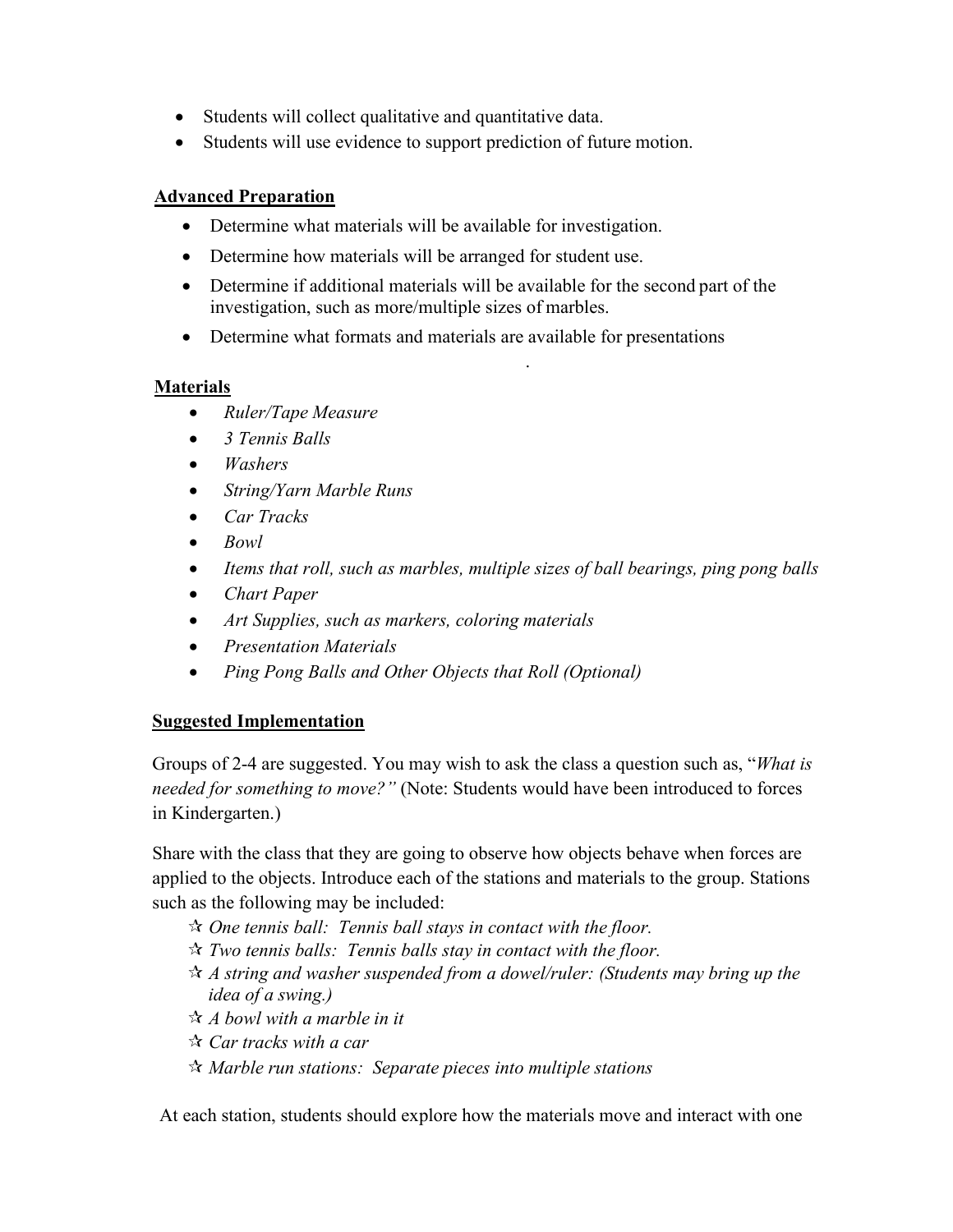- Students will collect qualitative and quantitative data.
- Students will use evidence to support prediction of future motion.

# **Advanced Preparation**

- Determine what materials will be available for investigation.
- Determine how materials will be arranged for student use.
- Determine if additional materials will be available for the second part of the investigation, such as more/multiple sizes of marbles.

.

• Determine what formats and materials are available for presentations

# **Materials**

- *Ruler/Tape Measure*
- *3 Tennis Balls*
- *Washers*
- *String/Yarn Marble Runs*
- *Car Tracks*
- *Bowl*
- *Items that roll, such as marbles, multiple sizes of ball bearings, ping pong balls*
- *Chart Paper*
- *Art Supplies, such as markers, coloring materials*
- *Presentation Materials*
- *Ping Pong Balls and Other Objects that Roll (Optional)*

# **Suggested Implementation**

Groups of 2-4 are suggested. You may wish to ask the class a question such as, "*What is needed for something to move?"* (Note: Students would have been introduced to forces in Kindergarten.)

Share with the class that they are going to observe how objects behave when forces are applied to the objects. Introduce each of the stations and materials to the group. Stations such as the following may be included:

- *One tennis ball: Tennis ball stays in contact with the floor.*
- *Two tennis balls: Tennis balls stay in contact with the floor.*
- *A string and washer suspended from a dowel/ruler: (Students may bring up the idea of a swing.)*
- *A bowl with a marble in it*
- *Car tracks with a car*
- *Marble run stations: Separate pieces into multiple stations*

At each station, students should explore how the materials move and interact with one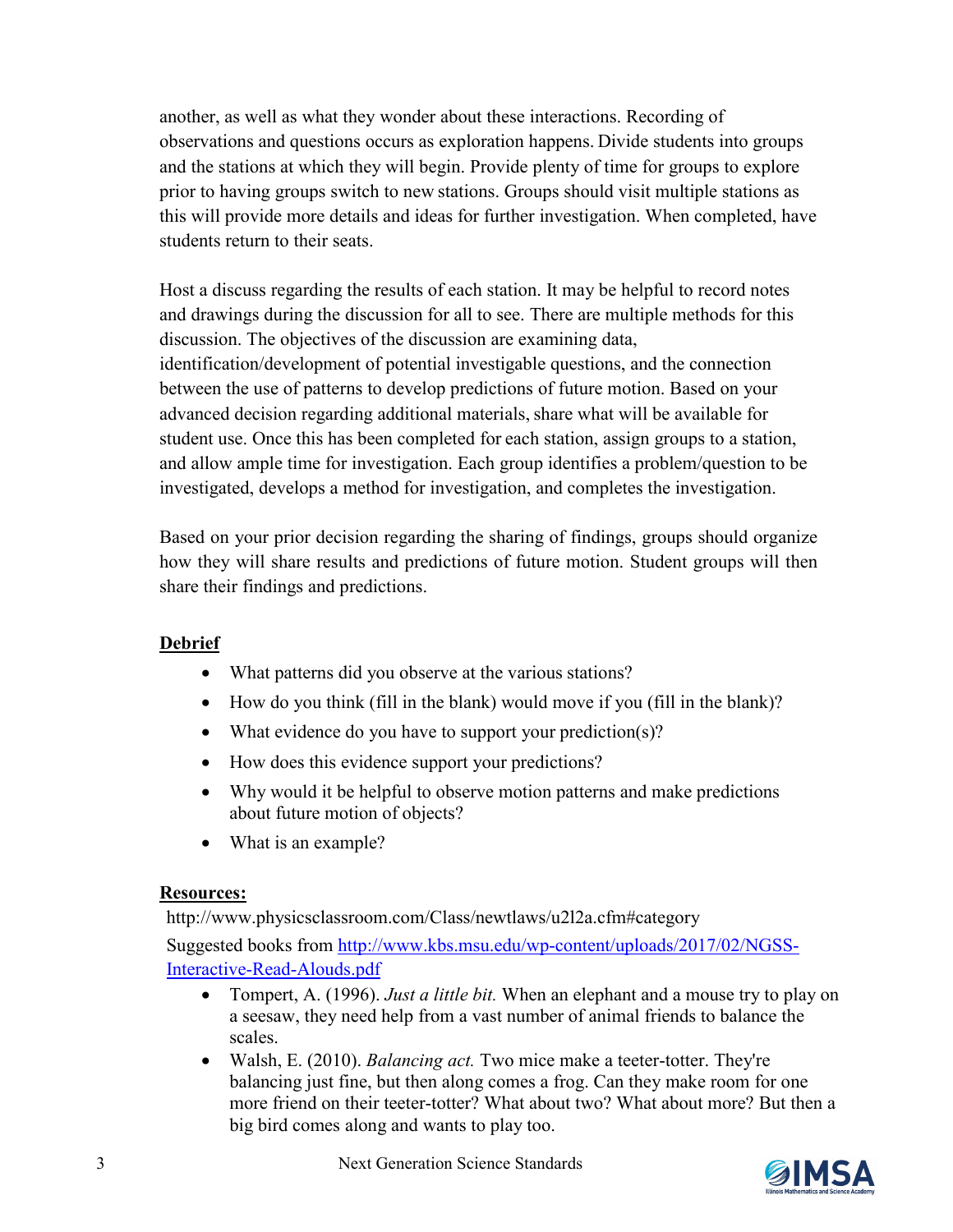another, as well as what they wonder about these interactions. Recording of observations and questions occurs as exploration happens. Divide students into groups and the stations at which they will begin. Provide plenty of time for groups to explore prior to having groups switch to new stations. Groups should visit multiple stations as this will provide more details and ideas for further investigation. When completed, have students return to their seats.

Host a discuss regarding the results of each station. It may be helpful to record notes and drawings during the discussion for all to see. There are multiple methods for this discussion. The objectives of the discussion are examining data, identification/development of potential investigable questions, and the connection between the use of patterns to develop predictions of future motion. Based on your advanced decision regarding additional materials, share what will be available for student use. Once this has been completed for each station, assign groups to a station, and allow ample time for investigation. Each group identifies a problem/question to be investigated, develops a method for investigation, and completes the investigation.

Based on your prior decision regarding the sharing of findings, groups should organize how they will share results and predictions of future motion. Student groups will then share their findings and predictions.

# **Debrief**

- What patterns did you observe at the various stations?
- How do you think (fill in the blank) would move if you (fill in the blank)?
- What evidence do you have to support your prediction(s)?
- How does this evidence support your predictions?
- Why would it be helpful to observe motion patterns and make predictions about future motion of objects?
- What is an example?

# **Resources:**

<http://www.physicsclassroom.com/Class/newtlaws/u2l2a.cfm#category>

Suggested books from [http://www.kbs.msu.edu/wp-content/uploads/2017/02/NGSS-](http://www.kbs.msu.edu/wp-content/uploads/2017/02/NGSS-Interactive-Read-Alouds.pdf)[Interactive-Read-Alouds.pdf](http://www.kbs.msu.edu/wp-content/uploads/2017/02/NGSS-Interactive-Read-Alouds.pdf)

- Tompert, A. (1996). *Just a little bit.* When an elephant and a mouse try to play on a seesaw, they need help from a vast number of animal friends to balance the scales.
- Walsh, E. (2010). *Balancing act.* Two mice make a teeter-totter. They're balancing just fine, but then along comes a frog. Can they make room for one more friend on their teeter-totter? What about two? What about more? But then a big bird comes along and wants to play too.